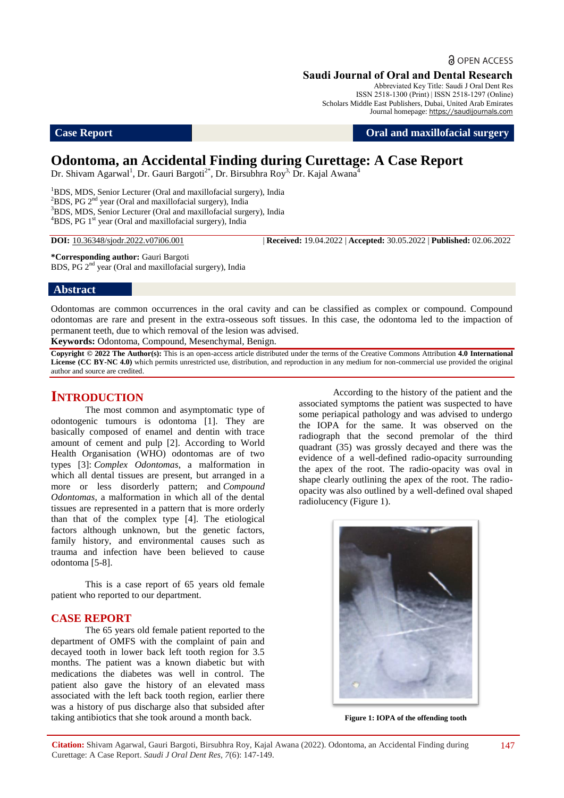**a** OPEN ACCESS

# **Saudi Journal of Oral and Dental Research**

Abbreviated Key Title: Saudi J Oral Dent Res ISSN 2518-1300 (Print) | ISSN 2518-1297 (Online) Scholars Middle East Publishers, Dubai, United Arab Emirates Journal homepage: https://saudijournals.com

**Case Report Case Report Oral and maxillofacial surgery** 

# **Odontoma, an Accidental Finding during Curettage: A Case Report**

Dr. Shivam Agarwal<sup>1</sup>, Dr. Gauri Bargoti<sup>2\*</sup>, Dr. Birsubhra Roy<sup>3,</sup> Dr. Kajal Awana<sup>4</sup>

<sup>1</sup>BDS, MDS, Senior Lecturer (Oral and maxillofacial surgery), India  ${}^{2}$ BDS, PG 2<sup>nd</sup> year (Oral and maxillofacial surgery), India <sup>3</sup>BDS, MDS, Senior Lecturer (Oral and maxillofacial surgery), India <sup>4</sup>BDS, PG 1<sup>st</sup> year (Oral and maxillofacial surgery), India

**DOI:** 10.36348/sjodr.2022.v07i06.001 | **Received:** 19.04.2022 | **Accepted:** 30.05.2022 | **Published:** 02.06.2022

**\*Corresponding author:** Gauri Bargoti BDS, PG 2nd year (Oral and maxillofacial surgery), India

## **Abstract**

Odontomas are common occurrences in the oral cavity and can be classified as complex or compound. Compound odontomas are rare and present in the extra-osseous soft tissues. In this case, the odontoma led to the impaction of permanent teeth, due to which removal of the lesion was advised.

**Keywords:** Odontoma, Compound, Mesenchymal, Benign.

**Copyright © 2022 The Author(s):** This is an open-access article distributed under the terms of the Creative Commons Attribution **4.0 International**  License (CC BY-NC 4.0) which permits unrestricted use, distribution, and reproduction in any medium for non-commercial use provided the original author and source are credited.

# **INTRODUCTION**

The most common and asymptomatic type of odontogenic tumours is odontoma [1]. They are basically composed of enamel and dentin with trace amount of cement and pulp [2]. According to World Health Organisation (WHO) odontomas are of two types [3]: *Complex Odontomas*, a malformation in which all dental tissues are present, but arranged in a more or less disorderly pattern; and *Compound Odontomas*, a malformation in which all of the dental tissues are represented in a pattern that is more orderly than that of the complex type [4]. The etiological factors although unknown, but the genetic factors, family history, and environmental causes such as trauma and infection have been believed to cause odontoma [5-8].

This is a case report of 65 years old female patient who reported to our department.

## **CASE REPORT**

The 65 years old female patient reported to the department of OMFS with the complaint of pain and decayed tooth in lower back left tooth region for 3.5 months. The patient was a known diabetic but with medications the diabetes was well in control. The patient also gave the history of an elevated mass associated with the left back tooth region, earlier there was a history of pus discharge also that subsided after taking antibiotics that she took around a month back.

According to the history of the patient and the associated symptoms the patient was suspected to have some periapical pathology and was advised to undergo the IOPA for the same. It was observed on the radiograph that the second premolar of the third quadrant (35) was grossly decayed and there was the evidence of a well-defined radio-opacity surrounding the apex of the root. The radio-opacity was oval in shape clearly outlining the apex of the root. The radioopacity was also outlined by a well-defined oval shaped radiolucency (Figure 1).



**Figure 1: IOPA of the offending tooth**

**Citation:** Shivam Agarwal, Gauri Bargoti, Birsubhra Roy, Kajal Awana (2022). Odontoma, an Accidental Finding during Curettage: A Case Report. *Saudi J Oral Dent Res, 7*(6): 147-149.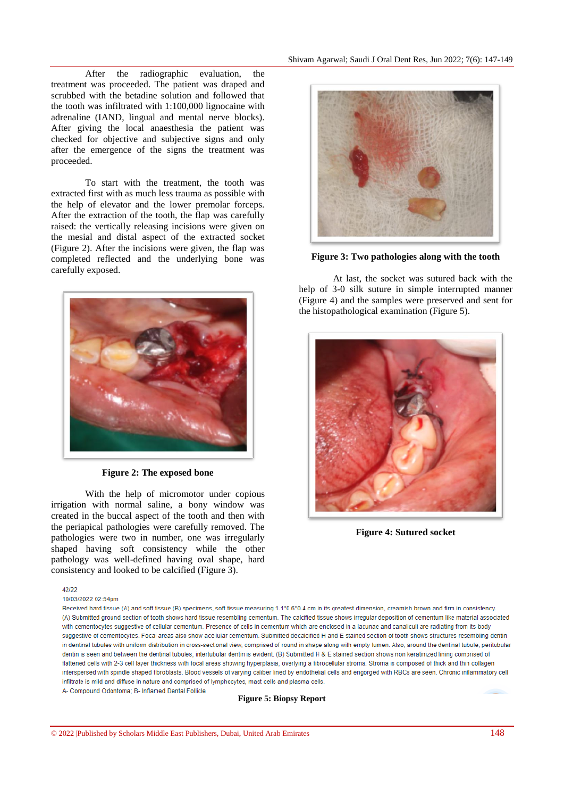After the radiographic evaluation, the treatment was proceeded. The patient was draped and scrubbed with the betadine solution and followed that the tooth was infiltrated with 1:100,000 lignocaine with adrenaline (IAND, lingual and mental nerve blocks). After giving the local anaesthesia the patient was checked for objective and subjective signs and only after the emergence of the signs the treatment was proceeded.

To start with the treatment, the tooth was extracted first with as much less trauma as possible with the help of elevator and the lower premolar forceps. After the extraction of the tooth, the flap was carefully raised: the vertically releasing incisions were given on the mesial and distal aspect of the extracted socket (Figure 2). After the incisions were given, the flap was completed reflected and the underlying bone was carefully exposed.



**Figure 2: The exposed bone**

With the help of micromotor under copious irrigation with normal saline, a bony window was created in the buccal aspect of the tooth and then with the periapical pathologies were carefully removed. The pathologies were two in number, one was irregularly shaped having soft consistency while the other pathology was well-defined having oval shape, hard consistency and looked to be calcified (Figure 3).

 $12122$ 

10/03/2022 02:54nm



**Figure 3: Two pathologies along with the tooth**

At last, the socket was sutured back with the help of 3-0 silk suture in simple interrupted manner (Figure 4) and the samples were preserved and sent for the histopathological examination (Figure 5).



**Figure 4: Sutured socket**

Received hard tissue (A) and soft tissue (B) specimens, soft tissue measuring 1.1\*0.6\*0.4 cm in its greatest dimension, creamish brown and firm in consistency. (A) Submitted ground section of tooth shows hard tissue resembling cementum. The calcified tissue shows irregular deposition of cementum like material associated with cementocytes suggestive of cellular cementum. Presence of cells in cementum which are enclosed in a lacunae and canaliculi are radiating from its body suggestive of cementocytes. Focal areas also show acellular cementum. Submitted decalcified H and E stained section of tooth shows structures resembling dentin in dentinal tubules with uniform distribution in cross-sectional view, comprised of round in shape along with empty lumen. Also, around the dentinal tubule, peritubular dentin is seen and between the dentinal tubules, intertubular dentin is evident. (B) Submitted H & E stained section shows non keratinized lining comprised of flattened cells with 2-3 cell laver thickness with focal areas showing hyperplasia, overlying a fibrocellular stroma, Stroma is composed of thick and thin collagen interspersed with spindle shaped fibroblasts. Blood vessels of varying caliber lined by endothelial cells and engorged with RBCs are seen. Chronic inflammatory cell infiltrate is mild and diffuse in nature and comprised of lymphocytes, mast cells and plasma cells A- Compound Odontoma; B- Inflamed Dental Follicle

**Figure 5: Biopsy Report**